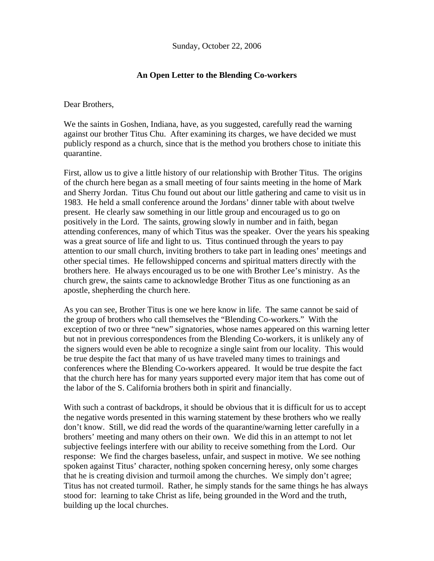Sunday, October 22, 2006

## **An Open Letter to the Blending Co-workers**

Dear Brothers,

We the saints in Goshen, Indiana, have, as you suggested, carefully read the warning against our brother Titus Chu. After examining its charges, we have decided we must publicly respond as a church, since that is the method you brothers chose to initiate this quarantine.

First, allow us to give a little history of our relationship with Brother Titus. The origins of the church here began as a small meeting of four saints meeting in the home of Mark and Sherry Jordan. Titus Chu found out about our little gathering and came to visit us in 1983. He held a small conference around the Jordans' dinner table with about twelve present. He clearly saw something in our little group and encouraged us to go on positively in the Lord. The saints, growing slowly in number and in faith, began attending conferences, many of which Titus was the speaker. Over the years his speaking was a great source of life and light to us. Titus continued through the years to pay attention to our small church, inviting brothers to take part in leading ones' meetings and other special times. He fellowshipped concerns and spiritual matters directly with the brothers here. He always encouraged us to be one with Brother Lee's ministry. As the church grew, the saints came to acknowledge Brother Titus as one functioning as an apostle, shepherding the church here.

As you can see, Brother Titus is one we here know in life. The same cannot be said of the group of brothers who call themselves the "Blending Co-workers." With the exception of two or three "new" signatories, whose names appeared on this warning letter but not in previous correspondences from the Blending Co-workers, it is unlikely any of the signers would even be able to recognize a single saint from our locality. This would be true despite the fact that many of us have traveled many times to trainings and conferences where the Blending Co-workers appeared. It would be true despite the fact that the church here has for many years supported every major item that has come out of the labor of the S. California brothers both in spirit and financially.

With such a contrast of backdrops, it should be obvious that it is difficult for us to accept the negative words presented in this warning statement by these brothers who we really don't know. Still, we did read the words of the quarantine/warning letter carefully in a brothers' meeting and many others on their own. We did this in an attempt to not let subjective feelings interfere with our ability to receive something from the Lord. Our response: We find the charges baseless, unfair, and suspect in motive. We see nothing spoken against Titus' character, nothing spoken concerning heresy, only some charges that he is creating division and turmoil among the churches. We simply don't agree; Titus has not created turmoil. Rather, he simply stands for the same things he has always stood for: learning to take Christ as life, being grounded in the Word and the truth, building up the local churches.